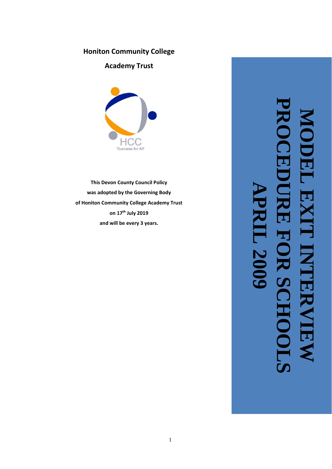## **Honiton Community College**

**Academy Trust**



**This Devon County Council Policy was adopted by the Governing Body of Honiton Community College Academy Trust on 17th July 2019 and will be every 3 years .**

**MODEL EXIT INTERVIEW PROCEDURE FOR SCHOOLS APRIL 2009**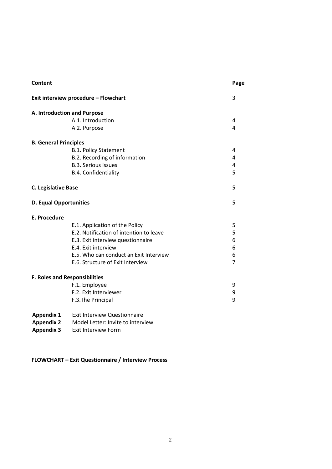| <b>Content</b>                       |                                         | Page           |  |  |  |  |
|--------------------------------------|-----------------------------------------|----------------|--|--|--|--|
| Exit interview procedure - Flowchart | 3                                       |                |  |  |  |  |
| A. Introduction and Purpose          |                                         |                |  |  |  |  |
|                                      | A.1. Introduction                       | 4              |  |  |  |  |
|                                      | A.2. Purpose                            |                |  |  |  |  |
| <b>B. General Principles</b>         |                                         |                |  |  |  |  |
|                                      | <b>B.1. Policy Statement</b>            | 4              |  |  |  |  |
|                                      | B.2. Recording of information           | 4              |  |  |  |  |
|                                      | <b>B.3. Serious issues</b>              | 4              |  |  |  |  |
|                                      | B.4. Confidentiality                    | 5              |  |  |  |  |
| <b>C. Legislative Base</b>           |                                         | 5              |  |  |  |  |
| <b>D. Equal Opportunities</b>        |                                         | 5              |  |  |  |  |
| <b>E. Procedure</b>                  |                                         |                |  |  |  |  |
|                                      | E.1. Application of the Policy          | 5              |  |  |  |  |
|                                      | E.2. Notification of intention to leave | 5              |  |  |  |  |
|                                      | E.3. Exit interview questionnaire       | 6              |  |  |  |  |
|                                      | E.4. Exit interview                     | 6              |  |  |  |  |
|                                      | E.5. Who can conduct an Exit Interview  | 6              |  |  |  |  |
|                                      | E.6. Structure of Exit Interview        | $\overline{7}$ |  |  |  |  |
| <b>F. Roles and Responsibilities</b> |                                         |                |  |  |  |  |
|                                      | F.1. Employee                           | 9              |  |  |  |  |
|                                      | F.2. Exit Interviewer                   | 9              |  |  |  |  |
|                                      | F.3. The Principal                      | 9              |  |  |  |  |
| <b>Appendix 1</b>                    | <b>Exit Interview Questionnaire</b>     |                |  |  |  |  |
| <b>Appendix 2</b>                    | Model Letter: Invite to interview       |                |  |  |  |  |

**Appendix 3** Exit Interview Form

**FLOWCHART – Exit Questionnaire / Interview Process**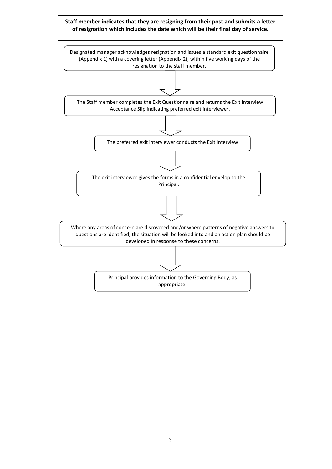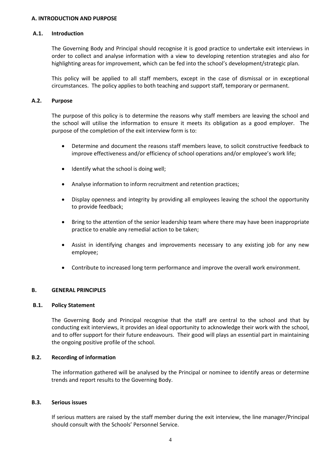#### **A. INTRODUCTION AND PURPOSE**

#### **A.1. Introduction**

The Governing Body and Principal should recognise it is good practice to undertake exit interviews in order to collect and analyse information with a view to developing retention strategies and also for highlighting areas for improvement, which can be fed into the school's development/strategic plan.

This policy will be applied to all staff members, except in the case of dismissal or in exceptional circumstances. The policy applies to both teaching and support staff, temporary or permanent.

#### **A.2. Purpose**

The purpose of this policy is to determine the reasons why staff members are leaving the school and the school will utilise the information to ensure it meets its obligation as a good employer. The purpose of the completion of the exit interview form is to:

- Determine and document the reasons staff members leave, to solicit constructive feedback to improve effectiveness and/or efficiency of school operations and/or employee's work life;
- Identify what the school is doing well;
- Analyse information to inform recruitment and retention practices;
- Display openness and integrity by providing all employees leaving the school the opportunity to provide feedback;
- Bring to the attention of the senior leadership team where there may have been inappropriate practice to enable any remedial action to be taken;
- Assist in identifying changes and improvements necessary to any existing job for any new employee;
- Contribute to increased long term performance and improve the overall work environment.

#### **B. GENERAL PRINCIPLES**

#### **B.1. Policy Statement**

The Governing Body and Principal recognise that the staff are central to the school and that by conducting exit interviews, it provides an ideal opportunity to acknowledge their work with the school, and to offer support for their future endeavours. Their good will plays an essential part in maintaining the ongoing positive profile of the school.

#### **B.2. Recording of information**

The information gathered will be analysed by the Principal or nominee to identify areas or determine trends and report results to the Governing Body.

#### **B.3. Serious issues**

If serious matters are raised by the staff member during the exit interview, the line manager/Principal should consult with the Schools' Personnel Service.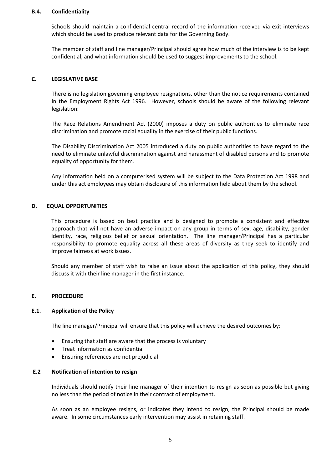#### **B.4. Confidentiality**

Schools should maintain a confidential central record of the information received via exit interviews which should be used to produce relevant data for the Governing Body.

The member of staff and line manager/Principal should agree how much of the interview is to be kept confidential, and what information should be used to suggest improvements to the school.

#### **C. LEGISLATIVE BASE**

There is no legislation governing employee resignations, other than the notice requirements contained in the Employment Rights Act 1996. However, schools should be aware of the following relevant legislation:

The Race Relations Amendment Act (2000) imposes a duty on public authorities to eliminate race discrimination and promote racial equality in the exercise of their public functions.

The Disability Discrimination Act 2005 introduced a duty on public authorities to have regard to the need to eliminate unlawful discrimination against and harassment of disabled persons and to promote equality of opportunity for them.

Any information held on a computerised system will be subject to the Data Protection Act 1998 and under this act employees may obtain disclosure of this information held about them by the school.

#### **D. EQUAL OPPORTUNITIES**

This procedure is based on best practice and is designed to promote a consistent and effective approach that will not have an adverse impact on any group in terms of sex, age, disability, gender identity, race, religious belief or sexual orientation. The line manager/Principal has a particular responsibility to promote equality across all these areas of diversity as they seek to identify and improve fairness at work issues.

Should any member of staff wish to raise an issue about the application of this policy, they should discuss it with their line manager in the first instance.

#### **E. PROCEDURE**

#### **E.1. Application of the Policy**

The line manager/Principal will ensure that this policy will achieve the desired outcomes by:

- Ensuring that staff are aware that the process is voluntary
- Treat information as confidential
- Ensuring references are not prejudicial

#### **E.2 Notification of intention to resign**

Individuals should notify their line manager of their intention to resign as soon as possible but giving no less than the period of notice in their contract of employment.

As soon as an employee resigns, or indicates they intend to resign, the Principal should be made aware. In some circumstances early intervention may assist in retaining staff.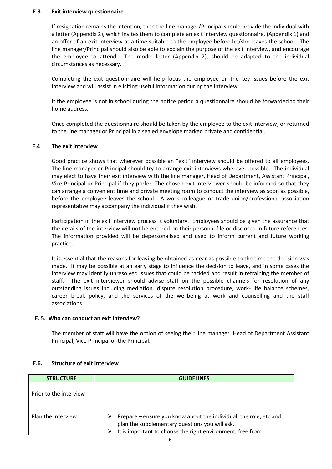#### **E.3 Exit interview questionnaire**

If resignation remains the intention, then the line manager/Principal should provide the individual with a letter (Appendix 2), which invites them to complete an exit interview questionnaire, (Appendix 1) and an offer of an exit interview at a time suitable to the employee before he/she leaves the school. The line manager/Principal should also be able to explain the purpose of the exit interview, and encourage the employee to attend. The model letter (Appendix 2), should be adapted to the individual circumstances as necessary.

Completing the exit questionnaire will help focus the employee on the key issues before the exit interview and will assist in eliciting useful information during the interview.

If the employee is not in school during the notice period a questionnaire should be forwarded to their home address.

Once completed the questionnaire should be taken by the employee to the exit interview, or returned to the line manager or Principal in a sealed envelope marked private and confidential.

#### **E.4 The exit interview**

Good practice shows that wherever possible an "exit" interview should be offered to all employees. The line manager or Principal should try to arrange exit interviews wherever possible. The individual may elect to have their exit interview with the line manager, Head of Department, Assistant Principal, Vice Principal or Principal if they prefer. The chosen exit interviewer should be informed so that they can arrange a convenient time and private meeting room to conduct the interview as soon as possible, before the employee leaves the school. A work colleague or trade union/professional association representative may accompany the individual if they wish.

Participation in the exit interview process is voluntary. Employees should be given the assurance that the details of the interview will not be entered on their personal file or disclosed in future references. The information provided will be depersonalised and used to inform current and future working practice.

It is essential that the reasons for leaving be obtained as near as possible to the time the decision was made. It may be possible at an early stage to influence the decision to leave, and in some cases the interview may identify unresolved issues that could be tackled and result in retraining the member of staff. The exit interviewer should advise staff on the possible channels for resolution of any outstanding issues including mediation, dispute resolution procedure, work- life balance schemes, career break policy, and the services of the wellbeing at work and counselling and the staff associations.

#### **E. 5. Who can conduct an exit interview?**

The member of staff will have the option of seeing their line manager, Head of Department Assistant Principal, Vice Principal or the Principal.

#### **E.6. Structure of exit interview**

| <b>STRUCTURE</b>       | <b>GUIDELINES</b>                                                                                                                                                                 |  |  |
|------------------------|-----------------------------------------------------------------------------------------------------------------------------------------------------------------------------------|--|--|
| Prior to the interview |                                                                                                                                                                                   |  |  |
| Plan the interview     | Prepare – ensure you know about the individual, the role, etc and<br>plan the supplementary questions you will ask.<br>It is important to choose the right environment, free from |  |  |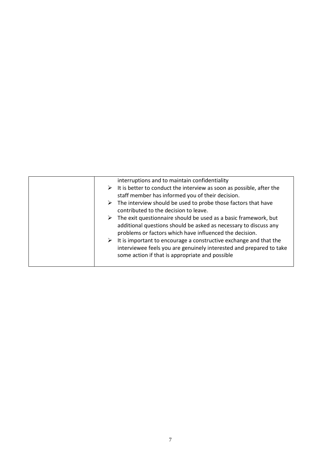|   | interruptions and to maintain confidentiality                                         |
|---|---------------------------------------------------------------------------------------|
|   | $\triangleright$ It is better to conduct the interview as soon as possible, after the |
|   | staff member has informed you of their decision.                                      |
| ➤ | The interview should be used to probe those factors that have                         |
|   | contributed to the decision to leave.                                                 |
|   | The exit questionnaire should be used as a basic framework, but                       |
|   | additional questions should be asked as necessary to discuss any                      |
|   | problems or factors which have influenced the decision.                               |
|   | It is important to encourage a constructive exchange and that the                     |
|   | interviewee feels you are genuinely interested and prepared to take                   |
|   | some action if that is appropriate and possible                                       |
|   |                                                                                       |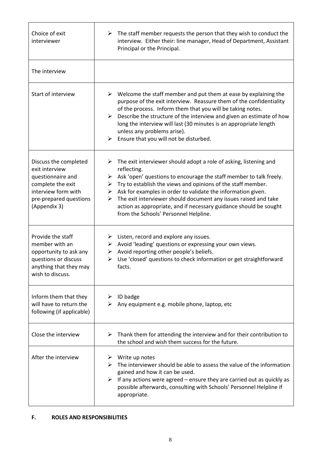| Choice of exit<br>interviewer                                                                                                                      | The staff member requests the person that they wish to conduct the<br>➤<br>interview. Either their: line manager, Head of Department, Assistant<br>Principal or the Principal.                                                                                                                                                                                                                                                                                                                               |  |
|----------------------------------------------------------------------------------------------------------------------------------------------------|--------------------------------------------------------------------------------------------------------------------------------------------------------------------------------------------------------------------------------------------------------------------------------------------------------------------------------------------------------------------------------------------------------------------------------------------------------------------------------------------------------------|--|
| The interview                                                                                                                                      |                                                                                                                                                                                                                                                                                                                                                                                                                                                                                                              |  |
| Start of interview                                                                                                                                 | Welcome the staff member and put them at ease by explaining the<br>➤<br>purpose of the exit interview. Reassure them of the confidentiality<br>of the process. Inform them that you will be taking notes.<br>Describe the structure of the interview and given an estimate of how<br>➤<br>long the interview will last (30 minutes is an appropriate length<br>unless any problems arise).<br>$\triangleright$ Ensure that you will not be disturbed.                                                        |  |
| Discuss the completed<br>exit interview<br>questionnaire and<br>complete the exit<br>interview form with<br>pre-prepared questions<br>(Appendix 3) | The exit interviewer should adopt a role of asking, listening and<br>➤<br>reflecting.<br>Ask 'open' questions to encourage the staff member to talk freely.<br>➤<br>Try to establish the views and opinions of the staff member.<br>➤<br>$\triangleright$ Ask for examples in order to validate the information given.<br>The exit interviewer should document any issues raised and take<br>➤<br>action as appropriate, and if necessary guidance should be sought<br>from the Schools' Personnel Helpline. |  |
| Provide the staff<br>member with an<br>opportunity to ask any<br>questions or discuss<br>anything that they may<br>wish to discuss.                | Listen, record and explore any issues.<br>➤<br>Avoid 'leading' questions or expressing your own views.<br>➤<br>Avoid reporting other people's beliefs.<br>➤<br>Use 'closed' questions to check information or get straightforward<br>≻<br>facts.                                                                                                                                                                                                                                                             |  |
| Inform them that they<br>will have to return the<br>following (if applicable)                                                                      | ID badge<br>➤<br>Any equipment e.g. mobile phone, laptop, etc<br>≻                                                                                                                                                                                                                                                                                                                                                                                                                                           |  |
| Close the interview                                                                                                                                | Thank them for attending the interview and for their contribution to<br>➤<br>the school and wish them success for the future.                                                                                                                                                                                                                                                                                                                                                                                |  |
| After the interview                                                                                                                                | Write up notes<br>➤<br>The interviewer should be able to assess the value of the information<br>➤<br>gained and how it can be used.<br>If any actions were agreed – ensure they are carried out as quickly as<br>➤<br>possible afterwards, consulting with Schools' Personnel Helpline if<br>appropriate.                                                                                                                                                                                                    |  |

٦

 $\mathsf{r}$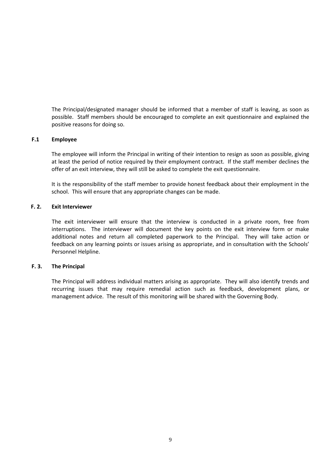The Principal/designated manager should be informed that a member of staff is leaving, as soon as possible. Staff members should be encouraged to complete an exit questionnaire and explained the positive reasons for doing so.

#### **F.1 Employee**

The employee will inform the Principal in writing of their intention to resign as soon as possible, giving at least the period of notice required by their employment contract. If the staff member declines the offer of an exit interview, they will still be asked to complete the exit questionnaire.

It is the responsibility of the staff member to provide honest feedback about their employment in the school. This will ensure that any appropriate changes can be made.

#### **F. 2. Exit Interviewer**

The exit interviewer will ensure that the interview is conducted in a private room, free from interruptions. The interviewer will document the key points on the exit interview form or make additional notes and return all completed paperwork to the Principal. They will take action or feedback on any learning points or issues arising as appropriate, and in consultation with the Schools' Personnel Helpline.

#### **F. 3. The Principal**

The Principal will address individual matters arising as appropriate. They will also identify trends and recurring issues that may require remedial action such as feedback, development plans, or management advice. The result of this monitoring will be shared with the Governing Body.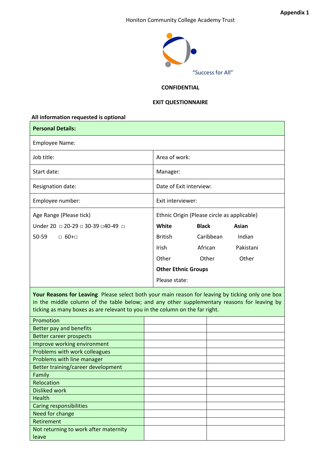#### Honiton Community College Academy Trust



#### **CONFIDENTIAL**

#### **EXIT QUESTIONNAIRE**

# **All information requested is optional Personal Details:** Employee Name: Job title: and the state of work: Start date: Manager: Manager: Manager: Manager: Manager: Manager: Manager: Manager: Manager: Manager:  $\vert$  Manager:  $\vert$ Resignation date:  $\vert$  Date of Exit interview: Employee number: Exit interviewer: Age Range (Please tick) Under 20 □ 20-29 □ 30-39 □ 40-49 □ 50-59 □ 60+□ Ethnic Origin (Please circle as applicable) **White Black Asian** British Caribbean Indian Irish African Pakistani Other Other Other **Other Ethnic Groups** Please state:

**Your Reasons for Leaving** Please select both your main reason for leaving by ticking only one box in the middle column of the table below; and any other supplementary reasons for leaving by ticking as many boxes as are relevant to you in the column on the far right.

| Promotion                             |  |
|---------------------------------------|--|
| Better pay and benefits               |  |
| <b>Better career prospects</b>        |  |
| Improve working environment           |  |
| Problems with work colleagues         |  |
| Problems with line manager            |  |
| Better training/career development    |  |
| Family                                |  |
| Relocation                            |  |
| <b>Disliked work</b>                  |  |
| <b>Health</b>                         |  |
| <b>Caring responsibilities</b>        |  |
| Need for change                       |  |
| Retirement                            |  |
| Not returning to work after maternity |  |
| leave                                 |  |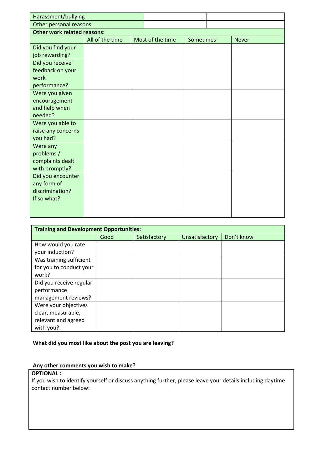| Harassment/bullying                |                 |  |                  |           |  |              |
|------------------------------------|-----------------|--|------------------|-----------|--|--------------|
| Other personal reasons             |                 |  |                  |           |  |              |
| <b>Other work related reasons:</b> |                 |  |                  |           |  |              |
|                                    | All of the time |  | Most of the time | Sometimes |  | <b>Never</b> |
| Did you find your                  |                 |  |                  |           |  |              |
| job rewarding?                     |                 |  |                  |           |  |              |
| Did you receive                    |                 |  |                  |           |  |              |
| feedback on your                   |                 |  |                  |           |  |              |
| work                               |                 |  |                  |           |  |              |
| performance?                       |                 |  |                  |           |  |              |
| Were you given                     |                 |  |                  |           |  |              |
| encouragement                      |                 |  |                  |           |  |              |
| and help when                      |                 |  |                  |           |  |              |
| needed?                            |                 |  |                  |           |  |              |
| Were you able to                   |                 |  |                  |           |  |              |
| raise any concerns                 |                 |  |                  |           |  |              |
| you had?                           |                 |  |                  |           |  |              |
| Were any                           |                 |  |                  |           |  |              |
| problems /                         |                 |  |                  |           |  |              |
| complaints dealt                   |                 |  |                  |           |  |              |
| with promptly?                     |                 |  |                  |           |  |              |
| Did you encounter                  |                 |  |                  |           |  |              |
| any form of<br>discrimination?     |                 |  |                  |           |  |              |
| If so what?                        |                 |  |                  |           |  |              |
|                                    |                 |  |                  |           |  |              |
|                                    |                 |  |                  |           |  |              |

| <b>Training and Development Opportunities:</b> |      |              |                |            |
|------------------------------------------------|------|--------------|----------------|------------|
|                                                | Good | Satisfactory | Unsatisfactory | Don't know |
| How would you rate                             |      |              |                |            |
| your induction?                                |      |              |                |            |
| Was training sufficient                        |      |              |                |            |
| for you to conduct your                        |      |              |                |            |
| work?                                          |      |              |                |            |
| Did you receive regular                        |      |              |                |            |
| performance                                    |      |              |                |            |
| management reviews?                            |      |              |                |            |
| Were your objectives                           |      |              |                |            |
| clear, measurable,                             |      |              |                |            |
| relevant and agreed                            |      |              |                |            |
| with you?                                      |      |              |                |            |

### **What did you most like about the post you are leaving?**

### **Any other comments you wish to make?**

### **OPTIONAL :**

If you wish to identify yourself or discuss anything further, please leave your details including daytime contact number below: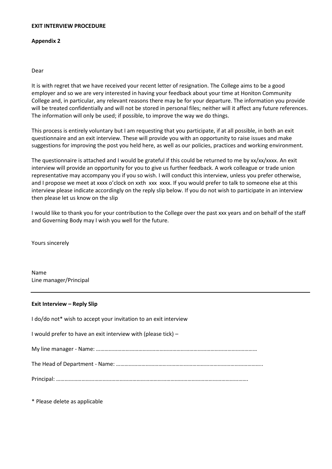#### **EXIT INTERVIEW PROCEDURE**

#### **Appendix 2**

#### Dear

It is with regret that we have received your recent letter of resignation. The College aims to be a good employer and so we are very interested in having your feedback about your time at Honiton Community College and, in particular, any relevant reasons there may be for your departure. The information you provide will be treated confidentially and will not be stored in personal files; neither will it affect any future references. The information will only be used; if possible, to improve the way we do things.

This process is entirely voluntary but I am requesting that you participate, if at all possible, in both an exit questionnaire and an exit interview. These will provide you with an opportunity to raise issues and make suggestions for improving the post you held here, as well as our policies, practices and working environment.

The questionnaire is attached and I would be grateful if this could be returned to me by xx/xx/xxxx. An exit interview will provide an opportunity for you to give us further feedback. A work colleague or trade union representative may accompany you if you so wish. I will conduct this interview, unless you prefer otherwise, and I propose we meet at xxxx o'clock on xxth xxx xxxx. If you would prefer to talk to someone else at this interview please indicate accordingly on the reply slip below. If you do not wish to participate in an interview then please let us know on the slip

I would like to thank you for your contribution to the College over the past xxx years and on behalf of the staff and Governing Body may I wish you well for the future.

Yours sincerely

Name Line manager/Principal

#### **Exit Interview – Reply Slip**

I do/do not\* wish to accept your invitation to an exit interview I would prefer to have an exit interview with (please tick) – My line manager - Name: …………………………………………………………………………………………………… The Head of Department - Name: ………………………………………………………………………………………….. Principal: ……………………………………………………………………………………………………………………….

\* Please delete as applicable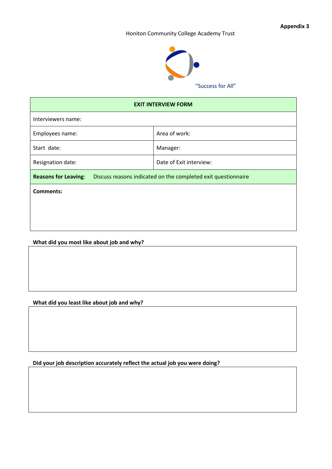**Appendix 3**

#### Honiton Community College Academy Trust



"Success for All"

| <b>EXIT INTERVIEW FORM</b>                                    |  |  |  |  |
|---------------------------------------------------------------|--|--|--|--|
|                                                               |  |  |  |  |
| Area of work:                                                 |  |  |  |  |
| Manager:                                                      |  |  |  |  |
| Date of Exit interview:                                       |  |  |  |  |
| Discuss reasons indicated on the completed exit questionnaire |  |  |  |  |
|                                                               |  |  |  |  |
|                                                               |  |  |  |  |
|                                                               |  |  |  |  |
|                                                               |  |  |  |  |

### **What did you most like about job and why?**

### **What did you least like about job and why?**

**Did your job description accurately reflect the actual job you were doing?**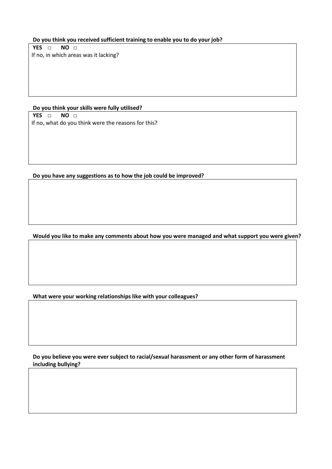**Do you think you received sufficient training to enable you to do your job?**

**YES □ NO □** If no, in which areas was it lacking?

**Do you think your skills were fully utilised? YES □ NO □**

If no, what do you think were the reasons for this?

**Do you have any suggestions as to how the job could be improved?**

**Would you like to make any comments about how you were managed and what support you were given?**

**What were your working relationships like with your colleagues?**

**Do you believe you were ever subject to racial/sexual harassment or any other form of harassment including bullying?**